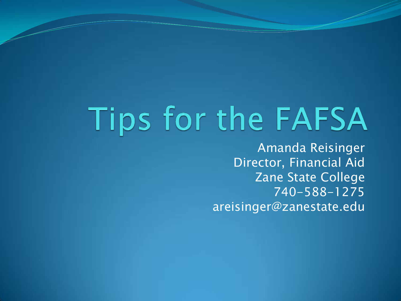## Tips for the FAFSA

Amanda Reisinger Director, Financial Aid Zane State College 740-588-1275 areisinger@zanestate.edu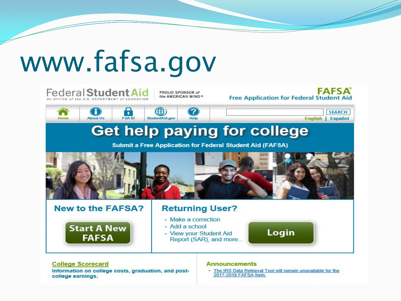## www.fafsa.gov



Information on college costs, graduation, and postcollege earnings.

. The IRS Data Retrieval Tool will remain unavailable for the 2017-2018 FAFSA form.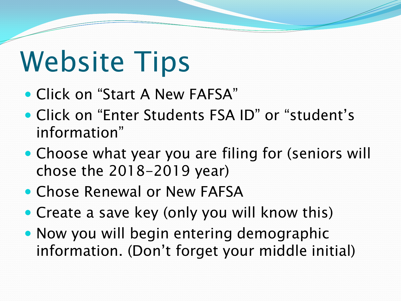## Website Tips

- Click on "Start A New FAFSA"
- Click on "Enter Students FSA ID" or "student's information"
- Choose what year you are filing for (seniors will chose the 2018-2019 year)
- Chose Renewal or New FAFSA
- Create a save key (only you will know this)
- Now you will begin entering demographic information. (Don't forget your middle initial)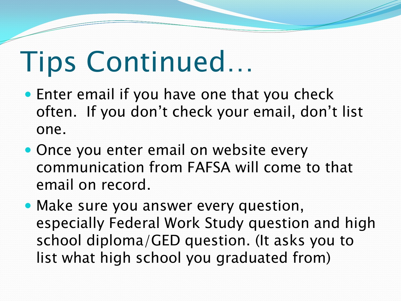### Tips Continued…

- Enter email if you have one that you check often. If you don't check your email, don't list one.
- Once you enter email on website every communication from FAFSA will come to that email on record.
- Make sure you answer every question, especially Federal Work Study question and high school diploma/GED question. (It asks you to list what high school you graduated from)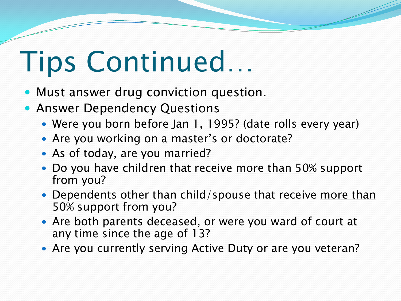## Tips Continued…

- Must answer drug conviction question.
- **Answer Dependency Questions** 
	- Were you born before Jan 1, 1995? (date rolls every year)
	- Are you working on a master's or doctorate?
	- As of today, are you married?
	- Do you have children that receive more than 50% support from you?
	- Dependents other than child/spouse that receive more than 50% support from you?
	- Are both parents deceased, or were you ward of court at any time since the age of 13?
	- Are you currently serving Active Duty or are you veteran?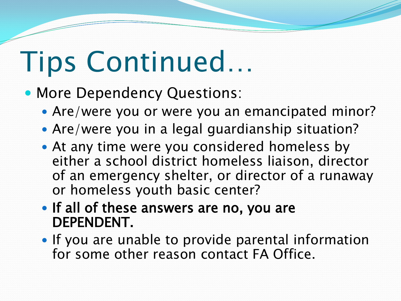## Tips Continued…

- More Dependency Questions:
	- Are/were you or were you an emancipated minor?
	- Are/were you in a legal guardianship situation?
	- At any time were you considered homeless by either a school district homeless liaison, director of an emergency shelter, or director of a runaway or homeless youth basic center?
	- If all of these answers are no, you are DEPENDENT.
	- If you are unable to provide parental information for some other reason contact FA Office.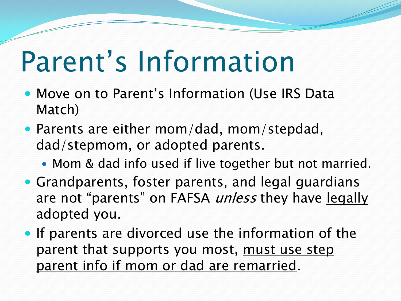## Parent's Information

- Move on to Parent's Information (Use IRS Data Match)
- Parents are either mom/dad, mom/stepdad, dad/stepmom, or adopted parents.
	- Mom & dad info used if live together but not married.
- Grandparents, foster parents, and legal guardians are not "parents" on FAFSA *unless* they have legally adopted you.
- If parents are divorced use the information of the parent that supports you most, must use step parent info if mom or dad are remarried.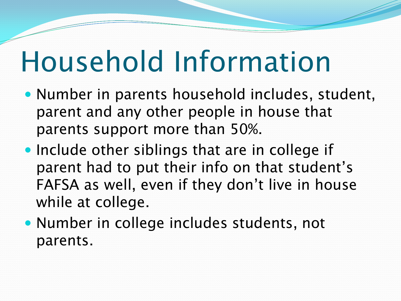## Household Information

- Number in parents household includes, student, parent and any other people in house that parents support more than 50%.
- Include other siblings that are in college if parent had to put their info on that student's FAFSA as well, even if they don't live in house while at college.
- Number in college includes students, not parents.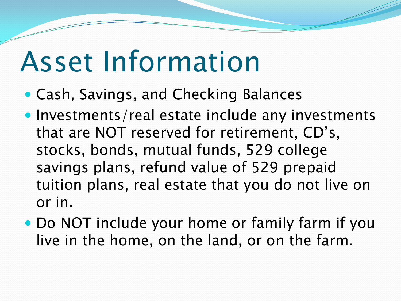#### Asset Information

- Cash, Savings, and Checking Balances
- Investments/real estate include any investments that are NOT reserved for retirement, CD's, stocks, bonds, mutual funds, 529 college savings plans, refund value of 529 prepaid tuition plans, real estate that you do not live on or in.
- Do NOT include your home or family farm if you live in the home, on the land, or on the farm.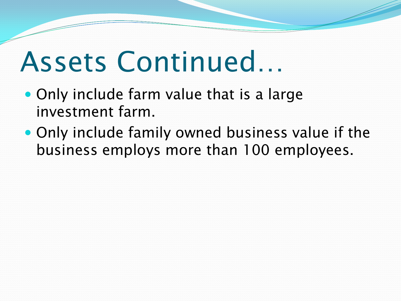#### Assets Continued…

- Only include farm value that is a large investment farm.
- Only include family owned business value if the business employs more than 100 employees.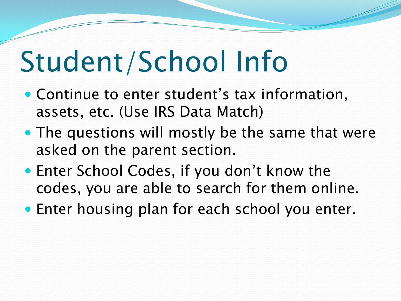## Student/School Info

- Continue to enter student's tax information, assets, etc. (Use IRS Data Match)
- The questions will mostly be the same that were asked on the parent section.
- Enter School Codes, if you don't know the codes, you are able to search for them online.
- Enter housing plan for each school you enter.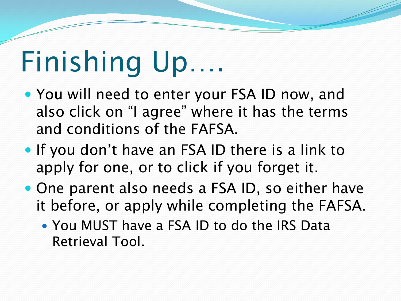## Finishing Up….

- You will need to enter your FSA ID now, and also click on "I agree" where it has the terms and conditions of the FAFSA.
- If you don't have an FSA ID there is a link to apply for one, or to click if you forget it.
- One parent also needs a FSA ID, so either have it before, or apply while completing the FAFSA.
	- You MUST have a FSA ID to do the IRS Data Retrieval Tool.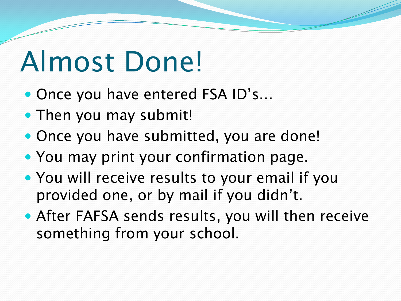## Almost Done!

- Once you have entered FSA ID's...
- Then you may submit!
- Once you have submitted, you are done!
- You may print your confirmation page.
- You will receive results to your email if you provided one, or by mail if you didn't.
- After FAFSA sends results, you will then receive something from your school.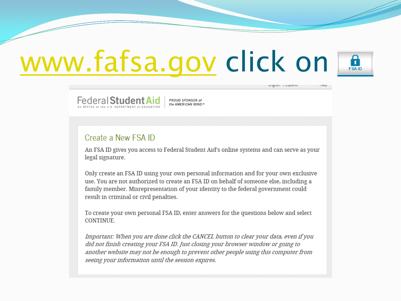## [www.fafsa.gov](http://www.fafsa.gov/) click on

Federal Student Aid

PROUD SPONSOR of the AMERICAN MIND®

#### Create a New FSA ID

An FSA ID gives you access to Federal Student Aid's online systems and can serve as your legal signature.

A **FSA ID** 

Lingnon | Lopanor

Only create an FSA ID using your own personal information and for your own exclusive use. You are not authorized to create an FSA ID on behalf of someone else, including a family member. Misrepresentation of your identity to the federal government could result in criminal or civil penalties.

To create your own personal FSA ID, enter answers for the questions below and select **CONTINUE.** 

Important: When you are done click the CANCEL button to clear your data, even if you did not finish creating your FSA ID. Just closing your browser window or going to another website may not be enough to prevent other people using this computer from seeing your information until the session expires.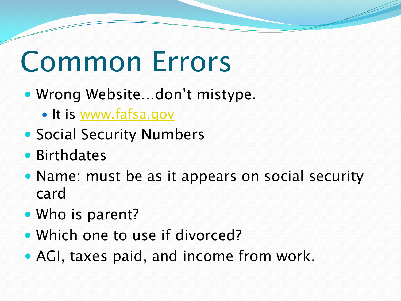#### Common Errors

- Wrong Website…don't mistype.
	- It is [www.fafsa.gov](http://www.fafsa.ed.gov/)
- Social Security Numbers
- **Birthdates**
- Name: must be as it appears on social security card
- Who is parent?
- Which one to use if divorced?
- AGI, taxes paid, and income from work.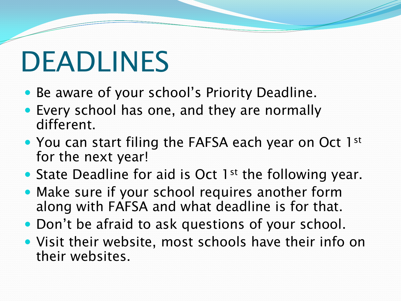## DEADLINES

- Be aware of your school's Priority Deadline.
- Every school has one, and they are normally different.
- You can start filing the FAFSA each year on Oct 1st for the next year!
- State Deadline for aid is Oct 1<sup>st</sup> the following year.
- Make sure if your school requires another form along with FAFSA and what deadline is for that.
- Don't be afraid to ask questions of your school.
- Visit their website, most schools have their info on their websites.